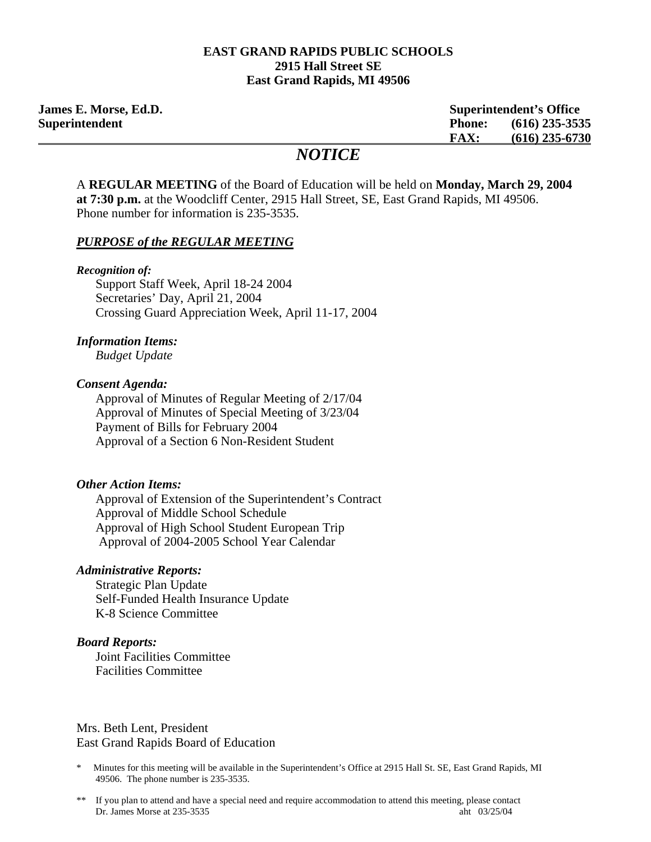#### **EAST GRAND RAPIDS PUBLIC SCHOOLS 2915 Hall Street SE East Grand Rapids, MI 49506**

**James E. Morse, Ed.D. Superintendent's Office Superintendent Phone: (616) 235-3535 FAX: (616) 235-6730**

# *NOTICE*

A **REGULAR MEETING** of the Board of Education will be held on **Monday, March 29, 2004 at 7:30 p.m.** at the Woodcliff Center, 2915 Hall Street, SE, East Grand Rapids, MI 49506. Phone number for information is 235-3535.

### *PURPOSE of the REGULAR MEETING*

#### *Recognition of:*

 Support Staff Week, April 18-24 2004 Secretaries' Day, April 21, 2004 Crossing Guard Appreciation Week, April 11-17, 2004

### *Information Items:*

*Budget Update*

### *Consent Agenda:*

 Approval of Minutes of Regular Meeting of 2/17/04 Approval of Minutes of Special Meeting of 3/23/04 Payment of Bills for February 2004 Approval of a Section 6 Non-Resident Student

### *Other Action Items:*

 Approval of Extension of the Superintendent's Contract Approval of Middle School Schedule Approval of High School Student European Trip Approval of 2004-2005 School Year Calendar

#### *Administrative Reports:*

Strategic Plan Update Self-Funded Health Insurance Update K-8 Science Committee

#### *Board Reports:*

 Joint Facilities Committee Facilities Committee

Mrs. Beth Lent, President East Grand Rapids Board of Education

<sup>\*</sup> Minutes for this meeting will be available in the Superintendent's Office at 2915 Hall St. SE, East Grand Rapids, MI 49506. The phone number is 235-3535.

<sup>\*\*</sup> If you plan to attend and have a special need and require accommodation to attend this meeting, please contact Dr. James Morse at 235-3535 aht 03/25/04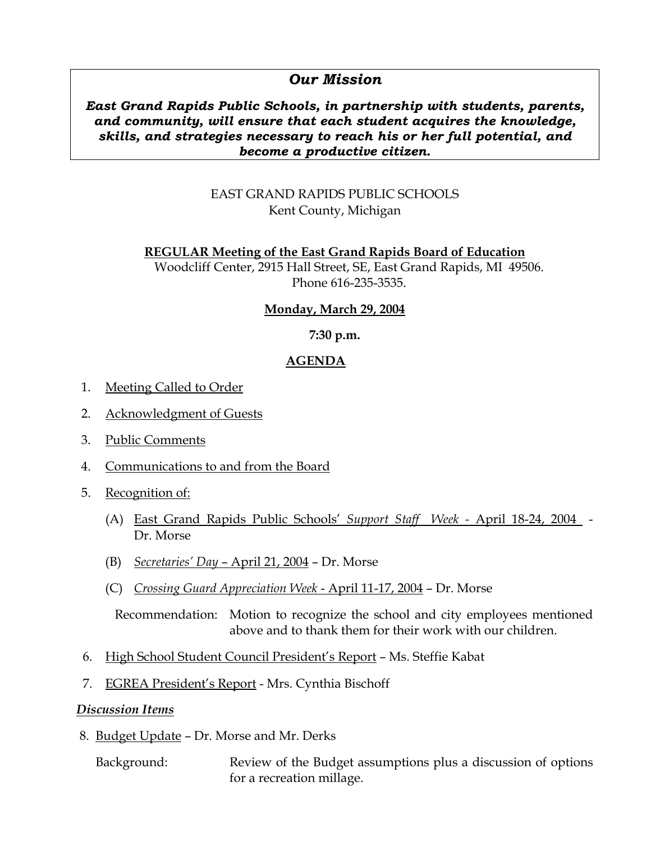## *Our Mission*

## *East Grand Rapids Public Schools, in partnership with students, parents, and community, will ensure that each student acquires the knowledge, skills, and strategies necessary to reach his or her full potential, and become a productive citizen.*

## EAST GRAND RAPIDS PUBLIC SCHOOLS Kent County, Michigan

**REGULAR Meeting of the East Grand Rapids Board of Education** Woodcliff Center, 2915 Hall Street, SE, East Grand Rapids, MI 49506. Phone 616-235-3535.

## **Monday, March 29, 2004**

## **7:30 p.m.**

### **AGENDA**

- 1. Meeting Called to Order
- 2. Acknowledgment of Guests
- 3. Public Comments
- 4. Communications to and from the Board
- 5. Recognition of:
	- (A) East Grand Rapids Public Schools' *Support Staff Week -* April 18-24, 2004 Dr. Morse
	- (B) *Secretaries' Day*  April 21, 2004 Dr. Morse
	- (C) *Crossing Guard Appreciation Week*  April 11-17, 2004 Dr. Morse

 Recommendation: Motion to recognize the school and city employees mentioned above and to thank them for their work with our children.

- 6. High School Student Council President's Report Ms. Steffie Kabat
- 7. EGREA President's Report Mrs. Cynthia Bischoff

### *Discussion Items*

- 8. Budget Update Dr. Morse and Mr. Derks
	- Background: Review of the Budget assumptions plus a discussion of options for a recreation millage.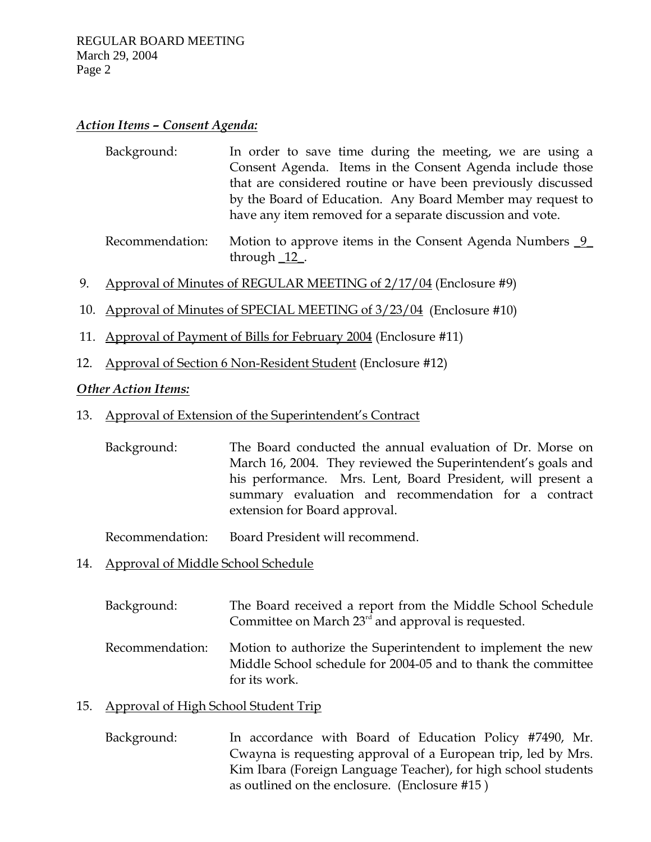## *Action Items – Consent Agenda:*

| Background: | In order to save time during the meeting, we are using a      |
|-------------|---------------------------------------------------------------|
|             | Consent Agenda. Items in the Consent Agenda include those     |
|             | that are considered routine or have been previously discussed |
|             | by the Board of Education. Any Board Member may request to    |
|             | have any item removed for a separate discussion and vote.     |
|             |                                                               |

- Recommendation: Motion to approve items in the Consent Agenda Numbers 9 through \_12\_.
- 9. Approval of Minutes of REGULAR MEETING of  $2/17/04$  (Enclosure #9)
- 10. Approval of Minutes of SPECIAL MEETING of 3/23/04 (Enclosure #10)
- 11. Approval of Payment of Bills for February 2004 (Enclosure #11)
- 12. Approval of Section 6 Non-Resident Student (Enclosure #12)

## *Other Action Items:*

- 13. Approval of Extension of the Superintendent's Contract
	- Background: The Board conducted the annual evaluation of Dr. Morse on March 16, 2004. They reviewed the Superintendent's goals and his performance. Mrs. Lent, Board President, will present a summary evaluation and recommendation for a contract extension for Board approval.

Recommendation: Board President will recommend.

14. Approval of Middle School Schedule

| Background:     | The Board received a report from the Middle School Schedule<br>Committee on March $23^{\text{rd}}$ and approval is requested.                 |
|-----------------|-----------------------------------------------------------------------------------------------------------------------------------------------|
| Recommendation: | Motion to authorize the Superintendent to implement the new<br>Middle School schedule for 2004-05 and to thank the committee<br>for its work. |

## 15. Approval of High School Student Trip

 Background: In accordance with Board of Education Policy #7490, Mr. Cwayna is requesting approval of a European trip, led by Mrs. Kim Ibara (Foreign Language Teacher), for high school students as outlined on the enclosure. (Enclosure #15 )